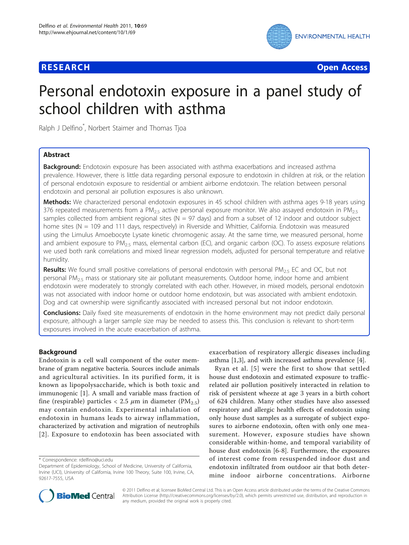

**RESEARCH CONTROL** CONTROL CONTROL CONTROL CONTROL CONTROL CONTROL CONTROL CONTROL CONTROL CONTROL CONTROL CONTROL CONTROL CONTROL CONTROL CONTROL CONTROL CONTROL CONTROL CONTROL CONTROL CONTROL CONTROL CONTROL CONTROL CON

# Personal endotoxin exposure in a panel study of school children with asthma

Ralph J Delfino\* , Norbert Staimer and Thomas Tjoa

# Abstract

**Background:** Endotoxin exposure has been associated with asthma exacerbations and increased asthma prevalence. However, there is little data regarding personal exposure to endotoxin in children at risk, or the relation of personal endotoxin exposure to residential or ambient airborne endotoxin. The relation between personal endotoxin and personal air pollution exposures is also unknown.

Methods: We characterized personal endotoxin exposures in 45 school children with asthma ages 9-18 years using 376 repeated measurements from a PM<sub>2.5</sub> active personal exposure monitor. We also assayed endotoxin in PM<sub>2.5</sub> samples collected from ambient regional sites ( $N = 97$  days) and from a subset of 12 indoor and outdoor subject home sites (N = 109 and 111 days, respectively) in Riverside and Whittier, California. Endotoxin was measured using the Limulus Amoebocyte Lysate kinetic chromogenic assay. At the same time, we measured personal, home and ambient exposure to  $PM_{2.5}$  mass, elemental carbon (EC), and organic carbon (OC). To assess exposure relations we used both rank correlations and mixed linear regression models, adjusted for personal temperature and relative humidity.

**Results:** We found small positive correlations of personal endotoxin with personal PM $_{2.5}$  EC and OC, but not personal PM<sub>2.5</sub> mass or stationary site air pollutant measurements. Outdoor home, indoor home and ambient endotoxin were moderately to strongly correlated with each other. However, in mixed models, personal endotoxin was not associated with indoor home or outdoor home endotoxin, but was associated with ambient endotoxin. Dog and cat ownership were significantly associated with increased personal but not indoor endotoxin.

**Conclusions:** Daily fixed site measurements of endotoxin in the home environment may not predict daily personal exposure, although a larger sample size may be needed to assess this. This conclusion is relevant to short-term exposures involved in the acute exacerbation of asthma.

# Background

Endotoxin is a cell wall component of the outer membrane of gram negative bacteria. Sources include animals and agricultural activities. In its purified form, it is known as lipopolysaccharide, which is both toxic and immunogenic [\[1](#page-12-0)]. A small and variable mass fraction of fine (respirable) particles < 2.5  $\mu$ m in diameter (PM<sub>2.5</sub>) may contain endotoxin. Experimental inhalation of endotoxin in humans leads to airway inflammation, characterized by activation and migration of neutrophils [[2](#page-12-0)]. Exposure to endotoxin has been associated with

exacerbation of respiratory allergic diseases including asthma [\[1,3](#page-12-0)], and with increased asthma prevalence [\[4\]](#page-12-0).

Ryan et al. [[5](#page-12-0)] were the first to show that settled house dust endotoxin and estimated exposure to trafficrelated air pollution positively interacted in relation to risk of persistent wheeze at age 3 years in a birth cohort of 624 children. Many other studies have also assessed respiratory and allergic health effects of endotoxin using only house dust samples as a surrogate of subject exposures to airborne endotoxin, often with only one measurement. However, exposure studies have shown considerable within-home, and temporal variability of house dust endotoxin [\[6](#page-12-0)-[8\]](#page-12-0). Furthermore, the exposures of interest come from resuspended indoor dust and endotoxin infiltrated from outdoor air that both determine indoor airborne concentrations. Airborne



© 2011 Delfino et al; licensee BioMed Central Ltd. This is an Open Access article distributed under the terms of the Creative Commons Attribution License [\(http://creativecommons.org/licenses/by/2.0](http://creativecommons.org/licenses/by/2.0)), which permits unrestricted use, distribution, and reproduction in any medium, provided the original work is properly cited.

<sup>\*</sup> Correspondence: [rdelfino@uci.edu](mailto:rdelfino@uci.edu)

Department of Epidemiology, School of Medicine, University of California, Irvine (UCI), University of California, Irvine 100 Theory, Suite 100, Irvine, CA, 92617-7555, USA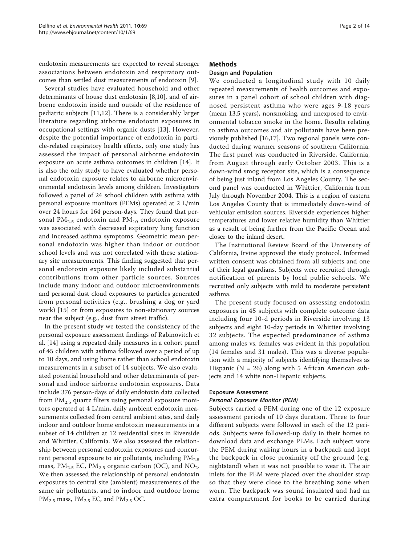endotoxin measurements are expected to reveal stronger associations between endotoxin and respiratory outcomes than settled dust measurements of endotoxin [\[9](#page-12-0)].

Several studies have evaluated household and other determinants of house dust endotoxin [\[8,10\]](#page-12-0), and of airborne endotoxin inside and outside of the residence of pediatric subjects [\[11](#page-12-0),[12\]](#page-13-0). There is a considerably larger literature regarding airborne endotoxin exposures in occupational settings with organic dusts [\[13](#page-13-0)]. However, despite the potential importance of endotoxin in particle-related respiratory health effects, only one study has assessed the impact of personal airborne endotoxin exposure on acute asthma outcomes in children [\[14](#page-13-0)]. It is also the only study to have evaluated whether personal endotoxin exposure relates to airborne microenvironmental endotoxin levels among children. Investigators followed a panel of 24 school children with asthma with personal exposure monitors (PEMs) operated at 2 L/min over 24 hours for 164 person-days. They found that personal  $PM_{2.5}$  endotoxin and  $PM_{10}$  endotoxin exposure was associated with decreased expiratory lung function and increased asthma symptoms. Geometric mean personal endotoxin was higher than indoor or outdoor school levels and was not correlated with these stationary site measurements. This finding suggested that personal endotoxin exposure likely included substantial contributions from other particle sources. Sources include many indoor and outdoor microenvironments and personal dust cloud exposures to particles generated from personal activities (e.g., brushing a dog or yard work) [\[15](#page-13-0)] or from exposures to non-stationary sources near the subject (e.g., dust from street traffic).

In the present study we tested the consistency of the personal exposure assessment findings of Rabinovitch et al. [[14\]](#page-13-0) using a repeated daily measures in a cohort panel of 45 children with asthma followed over a period of up to 10 days, and using home rather than school endotoxin measurements in a subset of 14 subjects. We also evaluated potential household and other determinants of personal and indoor airborne endotoxin exposures. Data include 376 person-days of daily endotoxin data collected from PM2.5 quartz filters using personal exposure monitors operated at 4 L/min, daily ambient endotoxin measurements collected from central ambient sites, and daily indoor and outdoor home endotoxin measurements in a subset of 14 children at 12 residential sites in Riverside and Whittier, California. We also assessed the relationship between personal endotoxin exposures and concurrent personal exposure to air pollutants, including  $PM_{2.5}$ mass,  $PM_{2.5}$  EC,  $PM_{2.5}$  organic carbon (OC), and  $NO_2$ . We then assessed the relationship of personal endotoxin exposures to central site (ambient) measurements of the same air pollutants, and to indoor and outdoor home  $PM_{2.5}$  mass,  $PM_{2.5}$  EC, and  $PM_{2.5}$  OC.

#### Methods

#### Design and Population

We conducted a longitudinal study with 10 daily repeated measurements of health outcomes and exposures in a panel cohort of school children with diagnosed persistent asthma who were ages 9-18 years (mean 13.5 years), nonsmoking, and unexposed to environmental tobacco smoke in the home. Results relating to asthma outcomes and air pollutants have been previously published [[16,17](#page-13-0)]. Two regional panels were conducted during warmer seasons of southern California. The first panel was conducted in Riverside, California, from August through early October 2003. This is a down-wind smog receptor site, which is a consequence of being just inland from Los Angeles County. The second panel was conducted in Whittier, California from July through November 2004. This is a region of eastern Los Angeles County that is immediately down-wind of vehicular emission sources. Riverside experiences higher temperatures and lower relative humidity than Whittier as a result of being further from the Pacific Ocean and closer to the inland desert.

The Institutional Review Board of the University of California, Irvine approved the study protocol. Informed written consent was obtained from all subjects and one of their legal guardians. Subjects were recruited through notification of parents by local public schools. We recruited only subjects with mild to moderate persistent asthma.

The present study focused on assessing endotoxin exposures in 45 subjects with complete outcome data including four 10-d periods in Riverside involving 13 subjects and eight 10-day periods in Whittier involving 32 subjects. The expected predominance of asthma among males vs. females was evident in this population (14 females and 31 males). This was a diverse population with a majority of subjects identifying themselves as Hispanic ( $N = 26$ ) along with 5 African American subjects and 14 white non-Hispanic subjects.

#### Exposure Assessment

#### Personal Exposure Monitor (PEM)

Subjects carried a PEM during one of the 12 exposure assessment periods of 10 days duration. Three to four different subjects were followed in each of the 12 periods. Subjects were followed-up daily in their homes to download data and exchange PEMs. Each subject wore the PEM during waking hours in a backpack and kept the backpack in close proximity off the ground (e.g. nightstand) when it was not possible to wear it. The air inlets for the PEM were placed over the shoulder strap so that they were close to the breathing zone when worn. The backpack was sound insulated and had an extra compartment for books to be carried during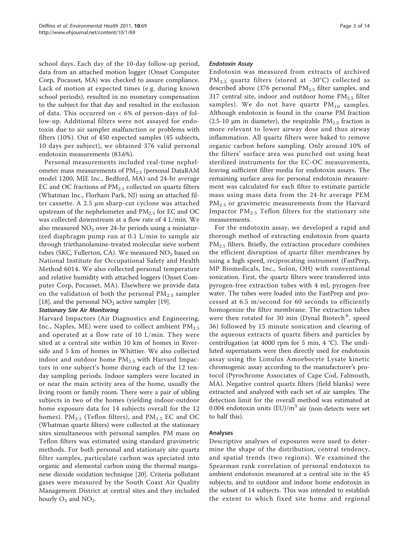school days. Each day of the 10-day follow-up period, data from an attached motion logger (Onset Computer Corp, Pocasset, MA) was checked to assure compliance. Lack of motion at expected times (e.g. during known school periods), resulted in no monetary compensation to the subject for that day and resulted in the exclusion of data. This occurred on  $< 6\%$  of person-days of follow-up. Additional filters were not assayed for endotoxin due to air sampler malfunction or problems with filters (10%). Out of 450 expected samples (45 subjects, 10 days per subject), we obtained 376 valid personal endotoxin measurements (83.6%).

Personal measurements included real-time nephelometer mass measurements of  $PM<sub>2.5</sub>$  (personal DataRAM model 1200, MIE Inc., Bedford, MA) and 24-hr average EC and OC fractions of  $PM<sub>2.5</sub>$  collected on quartz filters (Whatman Inc., Florham Park, NJ) using an attached filter cassette. A 2.5 μm sharp-cut cyclone was attached upstream of the nephelometer and  $PM_{2.5}$  for EC and OC was collected downstream at a flow rate of 4 L/min. We also measured  $NO<sub>2</sub>$  over 24-hr periods using a miniaturized diaphragm pump run at 0.1 L/min to sample air through triethanolamine-treated molecular sieve sorbent tubes (SKC, Fullerton, CA). We measured  $NO<sub>2</sub>$  based on National Institute for Occupational Safety and Health Method 6014. We also collected personal temperature and relative humidity with attached loggers (Onset Computer Corp, Pocasset, MA). Elsewhere we provide data on the validation of both the personal  $PM_{2.5}$  sampler [[18\]](#page-13-0), and the personal  $NO<sub>2</sub>$  active sampler [\[19](#page-13-0)].

# Stationary Site Air Monitoring

Harvard Impactors (Air Diagnostics and Engineering, Inc., Naples, ME) were used to collect ambient  $PM_{2.5}$ and operated at a flow rate of 10 L/min. They were sited at a central site within 10 km of homes in Riverside and 5 km of homes in Whittier. We also collected indoor and outdoor home  $PM_{2.5}$  with Harvard Impactors in one subject's home during each of the 12 tenday sampling periods. Indoor samplers were located in or near the main activity area of the home, usually the living room or family room. There were a pair of sibling subjects in two of the homes (yielding indoor-outdoor home exposure data for 14 subjects overall for the 12 homes).  $PM_{2.5}$  (Teflon filters), and  $PM_{2.5}$  EC and OC (Whatman quartz filters) were collected at the stationary sites simultaneous with personal samples. PM mass on Teflon filters was estimated using standard gravimetric methods. For both personal and stationary site quartz filter samples, particulate carbon was speciated into organic and elemental carbon using the thermal manganese dioxide oxidation technique [\[20](#page-13-0)]. Criteria pollutant gases were measured by the South Coast Air Quality Management District at central sites and they included hourly  $O_3$  and  $NO_2$ .

#### Endotoxin Assay

Endotoxin was measured from extracts of archived  $PM_{2.5}$  quartz filters (stored at -30°C) collected as described above (376 personal  $PM_{2.5}$  filter samples, and 317 central site, indoor and outdoor home  $PM_{2.5}$  filter samples). We do not have quartz  $PM_{10}$  samples. Although endotoxin is found in the coarse PM fraction (2.5-10  $\mu$ m in diameter), the respirable PM<sub>2.5</sub> fraction is more relevant to lower airway dose and thus airway inflammation. All quartz filters were baked to remove organic carbon before sampling. Only around 10% of the filters' surface area was punched out using heat sterilized instruments for the EC-OC measurements, leaving sufficient filter media for endotoxin assays. The remaining surface area for personal endotoxin measurement was calculated for each filter to estimate particle mass using mass data from the 24-hr average PEM PM<sub>2.5</sub> or gravimetric measurements from the Harvard Impactor  $PM_{2.5}$  Teflon filters for the stationary site measurements.

For the endotoxin assay, we developed a rapid and thorough method of extracting endotoxin from quartz  $PM<sub>2.5</sub>$  filters. Briefly, the extraction procedure combines the efficient disruption of quartz filter membranes by using a high speed, reciprocating instrument (FastPrep, MP Biomedicals, Inc., Solon, OH) with conventional sonication. First, the quartz filters were transferred into pyrogen-free extraction tubes with 4 mL pyrogen-free water. The tubes were loaded into the FastPrep and processed at 6.5 m/second for 60 seconds to efficiently homogenize the filter membrane. The extraction tubes were then rotated for 30 min (Dynal Biotech®, speed 36) followed by 15 minute sonication and clearing of the aqueous extracts of quartz fibers and particles by centrifugation (at 4000 rpm for 5 min, 4 °C). The undiluted supernatants were then directly used for endotoxin assay using the Limulus Amoebocyte Lysate kinetic chromogenic assay according to the manufacturer's protocol (Pyrochrome Associates of Cape Cod, Falmouth, MA). Negative control quartz filters (field blanks) were extracted and analyzed with each set of air samples. The detection limit for the overall method was estimated at 0.004 endotoxin units  $(EU)/m^3$  air (non-detects were set to half this).

# Analyses

Descriptive analyses of exposures were used to determine the shape of the distribution, central tendency, and spatial trends (two regions). We examined the Spearman rank correlation of personal endotoxin to ambient endotoxin measured at a central site in the 45 subjects, and to outdoor and indoor home endotoxin in the subset of 14 subjects. This was intended to establish the extent to which fixed site home and regional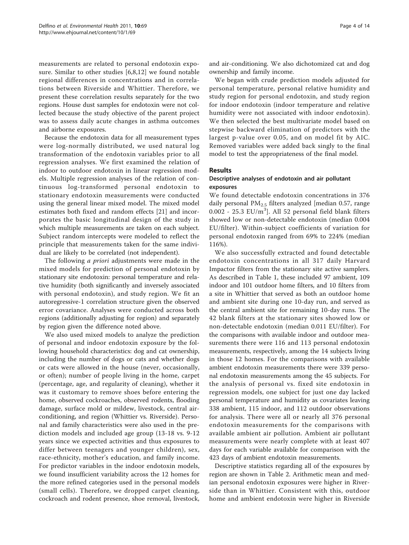measurements are related to personal endotoxin exposure. Similar to other studies [[6,8](#page-12-0),[12\]](#page-13-0) we found notable regional differences in concentrations and in correlations between Riverside and Whittier. Therefore, we present these correlation results separately for the two regions. House dust samples for endotoxin were not collected because the study objective of the parent project was to assess daily acute changes in asthma outcomes and airborne exposures.

Because the endotoxin data for all measurement types were log-normally distributed, we used natural log transformation of the endotoxin variables prior to all regression analyses. We first examined the relation of indoor to outdoor endotoxin in linear regression models. Multiple regression analyses of the relation of continuous log-transformed personal endotoxin to stationary endotoxin measurements were conducted using the general linear mixed model. The mixed model estimates both fixed and random effects [[21\]](#page-13-0) and incorporates the basic longitudinal design of the study in which multiple measurements are taken on each subject. Subject random intercepts were modeled to reflect the principle that measurements taken for the same individual are likely to be correlated (not independent).

The following *a priori* adjustments were made in the mixed models for prediction of personal endotoxin by stationary site endotoxin: personal temperature and relative humidity (both significantly and inversely associated with personal endotoxin), and study region. We fit an autoregressive-1 correlation structure given the observed error covariance. Analyses were conducted across both regions (additionally adjusting for region) and separately by region given the difference noted above.

We also used mixed models to analyze the prediction of personal and indoor endotoxin exposure by the following household characteristics: dog and cat ownership, including the number of dogs or cats and whether dogs or cats were allowed in the house (never, occasionally, or often); number of people living in the home, carpet (percentage, age, and regularity of cleaning), whether it was it customary to remove shoes before entering the home, observed cockroaches, observed rodents, flooding damage, surface mold or mildew, livestock, central airconditioning, and region (Whittier vs. Riverside). Personal and family characteristics were also used in the prediction models and included age group (13-18 vs. 9-12 years since we expected activities and thus exposures to differ between teenagers and younger children), sex, race-ethnicity, mother's education, and family income. For predictor variables in the indoor endotoxin models, we found insufficient variability across the 12 homes for the more refined categories used in the personal models (small cells). Therefore, we dropped carpet cleaning, cockroach and rodent presence, shoe removal, livestock, and air-conditioning. We also dichotomized cat and dog ownership and family income.

We began with crude prediction models adjusted for personal temperature, personal relative humidity and study region for personal endotoxin, and study region for indoor endotoxin (indoor temperature and relative humidity were not associated with indoor endotoxin). We then selected the best multivariate model based on stepwise backward elimination of predictors with the largest p-value over 0.05, and on model fit by AIC. Removed variables were added back singly to the final model to test the appropriateness of the final model.

#### Results

#### Descriptive analyses of endotoxin and air pollutant exposures

We found detectable endotoxin concentrations in 376 daily personal  $PM_{2.5}$  filters analyzed [median 0.57, range 0.002 - 25.3 EU/m<sup>3</sup>]. All 52 personal field blank filters showed low or non-detectable endotoxin (median 0.004 EU/filter). Within-subject coefficients of variation for personal endotoxin ranged from 69% to 224% (median 116%).

We also successfully extracted and found detectable endotoxin concentrations in all 317 daily Harvard Impactor filters from the stationary site active samplers. As described in Table [1,](#page-4-0) these included 97 ambient, 109 indoor and 101 outdoor home filters, and 10 filters from a site in Whittier that served as both an outdoor home and ambient site during one 10-day run, and served as the central ambient site for remaining 10-day runs. The 42 blank filters at the stationary sites showed low or non-detectable endotoxin (median 0.011 EU/filter). For the comparisons with available indoor and outdoor measurements there were 116 and 113 personal endotoxin measurements, respectively, among the 14 subjects living in those 12 homes. For the comparisons with available ambient endotoxin measurements there were 339 personal endotoxin measurements among the 45 subjects. For the analysis of personal vs. fixed site endotoxin in regression models, one subject for just one day lacked personal temperature and humidity as covariates leaving 338 ambient, 115 indoor, and 112 outdoor observations for analysis. There were all or nearly all 376 personal endotoxin measurements for the comparisons with available ambient air pollution. Ambient air pollutant measurements were nearly complete with at least 407 days for each variable available for comparison with the 423 days of ambient endotoxin measurements.

Descriptive statistics regarding all of the exposures by region are shown in Table [2.](#page-4-0) Arithmetic mean and median personal endotoxin exposures were higher in Riverside than in Whittier. Consistent with this, outdoor home and ambient endotoxin were higher in Riverside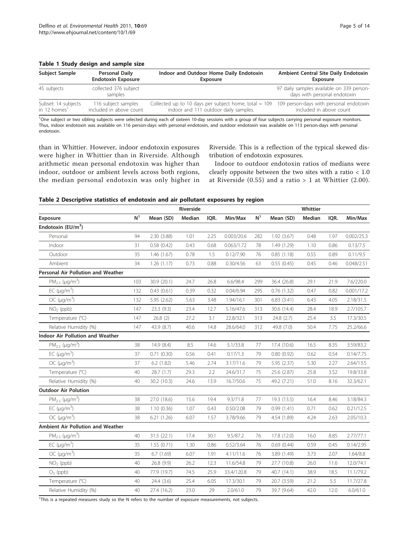<span id="page-4-0"></span>

| <b>Subject Sample</b>    | <b>Personal Daily</b>            | Indoor and Outdoor Home Daily Endotoxin                                                           | Ambient Central Site Daily Endotoxin                                      |  |  |
|--------------------------|----------------------------------|---------------------------------------------------------------------------------------------------|---------------------------------------------------------------------------|--|--|
|                          | <b>Endotoxin Exposure</b>        | Exposure                                                                                          | Exposure                                                                  |  |  |
| 45 subjects              | collected 376 subject<br>samples |                                                                                                   | 97 daily samples available on 339 person-<br>days with personal endotoxin |  |  |
| Subset: 14 subjects      | 116 subject samples              | Collected up to 10 days per subject home, total $= 109 - 109$ person-days with personal endotoxin | included in above count                                                   |  |  |
| in 12 homes <sup>1</sup> | included in above count          | indoor and 111 outdoor daily samples.                                                             |                                                                           |  |  |

<sup>1</sup>One subject or two sibling subjects were selected during each of sixteen 10-day sessions with a group of four subjects carrying personal exposure monitors. Thus, indoor endotoxin was available on 116 person-days with personal endotoxin, and outdoor endotoxin was available on 113 person-days with personal endotoxin.

than in Whittier. However, indoor endotoxin exposures were higher in Whittier than in Riverside. Although arithmetic mean personal endotoxin was higher than indoor, outdoor or ambient levels across both regions, the median personal endotoxin was only higher in

Riverside. This is a reflection of the typical skewed distribution of endotoxin exposures.

Indoor to outdoor endotoxin ratios of medians were clearly opposite between the two sites with a ratio < 1.0 at Riverside (0.55) and a ratio  $> 1$  at Whittier (2.00).

| Table 2 Descriptive statistics of endotoxin and air pollutant exposures by region |  |  |  |  |  |  |  |
|-----------------------------------------------------------------------------------|--|--|--|--|--|--|--|
|-----------------------------------------------------------------------------------|--|--|--|--|--|--|--|

|                                         |                |             | Riverside |      |            |                |             | Whittier |      |            |
|-----------------------------------------|----------------|-------------|-----------|------|------------|----------------|-------------|----------|------|------------|
| Exposure                                | N <sup>1</sup> | Mean (SD)   | Median    | IQR. | Min/Max    | N <sup>1</sup> | Mean (SD)   | Median   | IQR. | Min/Max    |
| Endotoxin (EU/m <sup>3</sup> )          |                |             |           |      |            |                |             |          |      |            |
| Personal                                | 94             | 2.30 (3.88) | 1.01      | 2.25 | 0.003/20.6 | 282            | 1.92(3.67)  | 0.48     | 1.97 | 0.002/25.3 |
| Indoor                                  | 31             | 0.58(0.42)  | 0.43      | 0.68 | 0.063/1.72 | 78             | 1.49 (1.29) | 1.10     | 0.86 | 0.13/7.5   |
| Outdoor                                 | 35             | 1.46(1.67)  | 0.78      | 1.5  | 0.12/7.90  | 76             | 0.85(1.18)  | 0.55     | 0.89 | 0.11/9.5   |
| Ambient                                 | 34             | 1.26(1.17)  | 0.73      | 0.88 | 0.30/4.56  | 63             | 0.55(0.45)  | 0.45     | 0.46 | 0.048/2.51 |
| Personal Air Pollution and Weather      |                |             |           |      |            |                |             |          |      |            |
| $PM_{2.5}$ (µg/m <sup>3</sup> )         | 103            | 30.9 (20.1) | 24.7      | 26.8 | 6.6/98.4   | 299            | 36.4 (26.8) | 29.1     | 21.9 | 7.6/220.0  |
| EC $(\mu q/m^3)$                        | 132            | 0.43(0.61)  | 0.39      | 0.32 | 0.04/6.94  | 295            | 0.76(1.32)  | 0.47     | 0.82 | 0.001/17.2 |
| OC $(\mu q/m^3)$                        | 132            | 5.95 (2.62) | 5.63      | 3.48 | 1.94/16.1  | 301            | 6.83(3.41)  | 6.43     | 4.05 | 2.18/31.5  |
| $NO2$ (ppb)                             | 147            | 23.3(9.3)   | 23.4      | 12.7 | 5.16/47.6  | 313            | 30.6 (14.4) | 28.4     | 18.9 | 2.7/105.7  |
| Temperature (°C)                        | 147            | 26.8(2)     | 27.2      | 3.1  | 22.8/32.1  | 313            | 24.8(2.7)   | 25.4     | 3.5  | 17.3/30.5  |
| Relative Humidity (%)                   | 147            | 43.9 (8.7)  | 40.6      | 14.8 | 28.6/64.0  | 312            | 49.8 (7.0)  | 50.4     | 7.75 | 25.2/66.6  |
| <b>Indoor Air Pollution and Weather</b> |                |             |           |      |            |                |             |          |      |            |
| $PM_{2.5}$ (µg/m <sup>3</sup> )         | 38             | 14.9 (8.4)  | 8.5       | 14.6 | 5.1/33.8   | 77             | 17.4 (10.6) | 16.5     | 8.35 | 3.59/83.2  |
| EC $(\mu g/m^3)$                        | 37             | 0.71(0.30)  | 0.56      | 0.41 | 0.17/1.3   | 79             | 0.80(0.92)  | 0.62     | 0.54 | 0.14/7.75  |
| OC $(\mu q/m^3)$                        | 37             | 6.2(1.82)   | 5.46      | 2.74 | 3.17/11.6  | 79             | 5.95 (2.37) | 5.30     | 2.27 | 2.64/13.5  |
| Temperature (°C)                        | 40             | 28.7 (1.7)  | 29.3      | 2.2  | 24.6/31.7  | 75             | 25.6 (2.87) | 25.8     | 3.52 | 19.8/33.8  |
| Relative Humidity (%)                   | 40             | 30.2 (10.3) | 24.6      | 13.9 | 16.7/50.6  | 75             | 49.2 (7.21) | 51.0     | 8.16 | 32.3/62.1  |
| <b>Outdoor Air Polution</b>             |                |             |           |      |            |                |             |          |      |            |
| $PM_{25}$ (µg/m <sup>3</sup> )          | 38             | 27.0 (18.6) | 15.6      | 19.4 | 9.3/71.8   | 77             | 19.3 (13.5) | 16.4     | 8.46 | 3.18/84.3  |
| EC $(\mu q/m^3)$                        | 38             | 1.10(0.36)  | 1.07      | 0.43 | 0.50/2.08  | 79             | 0.99(1.41)  | 0.71     | 0.62 | 0.21/12.5  |
| OC $(\mu q/m^3)$                        | 38             | 6.21(1.26)  | 6.07      | 1.57 | 3.78/9.66  | 79             | 4.54 (1.89) | 4.24     | 2.63 | 2.05/10.3  |
| Ambient Air Pollution and Weather       |                |             |           |      |            |                |             |          |      |            |
| $PM_{2.5}$ ( $\mu$ g/m <sup>3</sup> )   | 40             | 31.5 (22.1) | 17.4      | 30.1 | 9.5/87.2   | 76             | 17.8 (12.0) | 16.0     | 8.85 | 2.77/77.1  |
| EC $(\mu q/m^3)$                        | 35             | 1.55(0.71)  | 1.30      | 0.86 | 0.52/3.64  | 76             | 0.69(0.44)  | 0.59     | 0.45 | 0.14/2.95  |
| OC $(\mu q/m^3)$                        | 35             | 6.7(1.69)   | 6.07      | 1.91 | 4.11/11.6  | 76             | 3.89 (1.49) | 3.73     | 2.07 | 1.64/8.8   |
| $NO2$ (ppb)                             | 40             | 26.8 (9.9)  | 26.2      | 12.3 | 11.6/54.8  | 79             | 27.7 (10.8) | 26.0     | 11.6 | 12.0/74.1  |
| $O_3$ (ppb)                             | 40             | 77.9 (19.7) | 74.5      | 25.9 | 33.4/120.8 | 79             | 40.7 (14.1) | 38.9     | 18.5 | 11.1/79.2  |
| Temperature (°C)                        | 40             | 24.4 (3.6)  | 25.4      | 6.05 | 17.3/30.1  | 79             | 20.7 (3.59) | 21.2     | 5.5  | 11.7/27.8  |
| Relative Humidity (%)                   | 40             | 27.4 (16.2) | 23.0      | 29   | 2.0/61.0   | 79             | 39.7 (9.64) | 42.0     | 12.0 | 6.0/61.0   |

<sup>1</sup>This is a repeated measures study so the N refers to the number of exposure measurements, not subjects.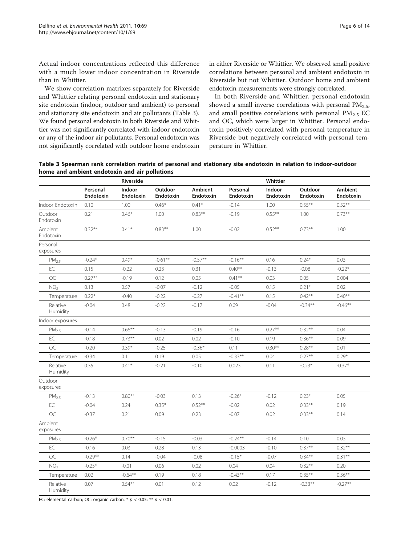Actual indoor concentrations reflected this difference with a much lower indoor concentration in Riverside than in Whittier.

We show correlation matrixes separately for Riverside and Whittier relating personal endotoxin and stationary site endotoxin (indoor, outdoor and ambient) to personal and stationary site endotoxin and air pollutants (Table 3). We found personal endotoxin in both Riverside and Whittier was not significantly correlated with indoor endotoxin or any of the indoor air pollutants. Personal endotoxin was not significantly correlated with outdoor home endotoxin in either Riverside or Whittier. We observed small positive correlations between personal and ambient endotoxin in Riverside but not Whittier. Outdoor home and ambient endotoxin measurements were strongly correlated.

In both Riverside and Whittier, personal endotoxin showed a small inverse correlations with personal  $PM_{2.5}$ , and small positive correlations with personal  $PM_{2.5}$  EC and OC, which were larger in Whittier. Personal endotoxin positively correlated with personal temperature in Riverside but negatively correlated with personal temperature in Whittier.

Table 3 Spearman rank correlation matrix of personal and stationary site endotoxin in relation to indoor-outdoor home and ambient endotoxin and air pollutions

|                            |                       | Riverside           |                      |                      |                       |                     | Whittier             |                             |  |  |
|----------------------------|-----------------------|---------------------|----------------------|----------------------|-----------------------|---------------------|----------------------|-----------------------------|--|--|
|                            | Personal<br>Endotoxin | Indoor<br>Endotoxin | Outdoor<br>Endotoxin | Ambient<br>Endotoxin | Personal<br>Endotoxin | Indoor<br>Endotoxin | Outdoor<br>Endotoxin | <b>Ambient</b><br>Endotoxin |  |  |
| Indoor Endotoxin           | 0.10                  | 1.00                | $0.46*$              | $0.41*$              | $-0.14$               | 1.00                | $0.55***$            | $0.52***$                   |  |  |
| Outdoor<br>Endotoxin       | 0.21                  | $0.46*$             | 1.00                 | $0.83***$            | $-0.19$               | $0.55***$           | 1.00                 | $0.73***$                   |  |  |
| Ambient<br>Endotoxin       | $0.32***$             | $0.41*$             | $0.83***$            | 1.00                 | $-0.02$               | $0.52***$           | $0.73***$            | 1.00                        |  |  |
| Personal<br>exposures      |                       |                     |                      |                      |                       |                     |                      |                             |  |  |
| PM <sub>25</sub>           | $-0.24*$              | $0.49*$             | $-0.61***$           | $-0.57**$            | $-0.16***$            | 0.16                | $0.24*$              | 0.03                        |  |  |
| $\mathsf{EC}$              | 0.15                  | $-0.22$             | 0.23                 | 0.31                 | $0.40***$             | $-0.13$             | $-0.08$              | $-0.22*$                    |  |  |
| OC                         | $0.27***$             | $-0.19$             | 0.12                 | 0.05                 | $0.41***$             | 0.03                | 0.05                 | 0.004                       |  |  |
| NO <sub>2</sub>            | 0.13                  | 0.57                | $-0.07$              | $-0.12$              | $-0.05$               | 0.15                | $0.21*$              | 0.02                        |  |  |
| Temperature                | $0.22*$               | $-0.40$             | $-0.22$              | $-0.27$              | $-0.41***$            | 0.15                | $0.42**$             | $0.40***$                   |  |  |
| Relative<br>Humidity       | $-0.04$               | 0.48                | $-0.22$              | $-0.17$              | 0.09                  | $-0.04$             | $-0.34***$           | $-0.46**$                   |  |  |
| Indoor exposures           |                       |                     |                      |                      |                       |                     |                      |                             |  |  |
| PM <sub>2.5</sub>          | $-0.14$               | $0.66***$           | $-0.13$              | $-0.19$              | $-0.16$               | $0.27**$            | $0.32***$            | 0.04                        |  |  |
| EC                         | $-0.18$               | $0.73***$           | 0.02                 | 0.02                 | $-0.10$               | 0.19                | $0.36***$            | 0.09                        |  |  |
| <b>OC</b>                  | $-0.20$               | $0.39*$             | $-0.25$              | $-0.36*$             | 0.11                  | $0.30***$           | $0.28***$            | 0.01                        |  |  |
| Temperature                | $-0.34$               | 0.11                | 0.19                 | 0.05                 | $-0.33**$             | 0.04                | $0.27**$             | $0.29*$                     |  |  |
| Relative<br>Humidity       | 0.35                  | $0.41*$             | $-0.21$              | $-0.10$              | 0.023                 | 0.11                | $-0.23*$             | $-0.37*$                    |  |  |
| Outdoor<br>exposures       |                       |                     |                      |                      |                       |                     |                      |                             |  |  |
| PM <sub>2.5</sub>          | $-0.13$               | $0.80***$           | $-0.03$              | 0.13                 | $-0.26*$              | $-0.12$             | $0.23*$              | 0.05                        |  |  |
| EC                         | $-0.04$               | 0.24                | $0.35*$              | $0.52***$            | $-0.02$               | 0.02                | $0.33***$            | 0.19                        |  |  |
| ОC                         | $-0.37$               | 0.21                | 0.09                 | 0.23                 | $-0.07$               | 0.02                | $0.33***$            | 0.14                        |  |  |
| Ambient<br>exposures       |                       |                     |                      |                      |                       |                     |                      |                             |  |  |
| PM <sub>2.5</sub>          | $-0.26*$              | $0.70***$           | $-0.15$              | $-0.03$              | $-0.24***$            | $-0.14$             | 0.10                 | 0.03                        |  |  |
| EC                         | $-0.16$               | 0.03                | 0.28                 | 0.13                 | $-0.0003$             | $-0.10$             | $0.37**$             | $0.32***$                   |  |  |
| $\mathop{\rm OC}\nolimits$ | $-0.29**$             | 0.14                | $-0.04$              | $-0.08$              | $-0.15*$              | $-0.07$             | $0.34***$            | $0.31***$                   |  |  |
| NO <sub>2</sub>            | $-0.25*$              | $-0.01$             | 0.06                 | 0.02                 | 0.04                  | 0.04                | $0.32***$            | 0.20                        |  |  |
| Temperature                | 0.02                  | $-0.64***$          | 0.19                 | 0.18                 | $-0.43**$             | 0.17                | $0.35***$            | $0.36***$                   |  |  |
| Relative<br>Humidity       | 0.07                  | $0.54***$           | 0.01                 | 0.12                 | 0.02                  | $-0.12$             | $-0.33**$            | $-0.27**$                   |  |  |

EC: elemental carbon; OC: organic carbon. \*  $p < 0.05$ ; \*\*  $p < 0.01$ .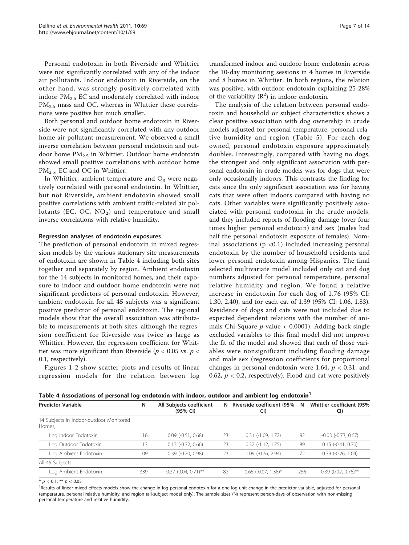<span id="page-6-0"></span>Personal endotoxin in both Riverside and Whittier were not significantly correlated with any of the indoor air pollutants. Indoor endotoxin in Riverside, on the other hand, was strongly positively correlated with indoor PM2.5 EC and moderately correlated with indoor PM<sub>2.5</sub> mass and OC, whereas in Whittier these correlations were positive but much smaller.

Both personal and outdoor home endotoxin in Riverside were not significantly correlated with any outdoor home air pollutant measurement. We observed a small inverse correlation between personal endotoxin and outdoor home  $PM_{2.5}$  in Whittier. Outdoor home endotoxin showed small positive correlations with outdoor home PM<sub>2.5</sub>, EC and OC in Whittier.

In Whittier, ambient temperature and  $O_3$  were negatively correlated with personal endotoxin. In Whittier, but not Riverside, ambient endotoxin showed small positive correlations with ambient traffic-related air pollutants (EC, OC,  $NO<sub>2</sub>$ ) and temperature and small inverse correlations with relative humidity.

#### Regression analyses of endotoxin exposures

The prediction of personal endotoxin in mixed regression models by the various stationary site measurements of endotoxin are shown in Table 4 including both sites together and separately by region. Ambient endotoxin for the 14 subjects in monitored homes, and their exposure to indoor and outdoor home endotoxin were not significant predictors of personal endotoxin. However, ambient endotoxin for all 45 subjects was a significant positive predictor of personal endotoxin. The regional models show that the overall association was attributable to measurements at both sites, although the regression coefficient for Riverside was twice as large as Whittier. However, the regression coefficient for Whittier was more significant than Riverside ( $p < 0.05$  vs.  $p <$ 0.1, respectively).

Figures [1](#page-7-0)-[2](#page-7-0) show scatter plots and results of linear regression models for the relation between log

transformed indoor and outdoor home endotoxin across the 10-day monitoring sessions in 4 homes in Riverside and 8 homes in Whittier. In both regions, the relation was positive, with outdoor endotoxin explaining 25-28% of the variability  $(R^2)$  in indoor endotoxin.

The analysis of the relation between personal endotoxin and household or subject characteristics shows a clear positive association with dog ownership in crude models adjusted for personal temperature, personal relative humidity and region (Table [5\)](#page-8-0). For each dog owned, personal endotoxin exposure approximately doubles. Interestingly, compared with having no dogs, the strongest and only significant association with personal endotoxin in crude models was for dogs that were only occasionally indoors. This contrasts the finding for cats since the only significant association was for having cats that were often indoors compared with having no cats. Other variables were significantly positively associated with personal endotoxin in the crude models, and they included reports of flooding damage (over four times higher personal endotoxin) and sex (males had half the personal endotoxin exposure of females). Nominal associations ( $p < 0.1$ ) included increasing personal endotoxin by the number of household residents and lower personal endotoxin among Hispanics. The final selected multivariate model included only cat and dog numbers adjusted for personal temperature, personal relative humidity and region. We found a relative increase in endotoxin for each dog of 1.76 (95% CI: 1.30, 2.40), and for each cat of 1.39 (95% CI: 1.06, 1.83). Residence of dogs and cats were not included due to expected dependent relations with the number of animals Chi-Square  $p$ -value  $\lt$  0.0001). Adding back single excluded variables to this final model did not improve the fit of the model and showed that each of those variables were nonsignificant including flooding damage and male sex (regression coefficients for proportional changes in personal endotoxin were 1.64,  $p < 0.31$ , and 0.62,  $p < 0.2$ , respectively). Flood and cat were positively

Table 4 Associations of personal log endotoxin with indoor, outdoor and ambient log endotoxin<sup>1</sup>

| <b>Predictor Variable</b>                         | N   | All Subjects coefficient<br>(95% CI) | N  | <b>Riverside coefficient (95%</b><br>CI) | N   | Whittier coefficient (95%<br>CI) |
|---------------------------------------------------|-----|--------------------------------------|----|------------------------------------------|-----|----------------------------------|
| 14 Subjects in Indoor-outdoor Monitored<br>Homes, |     |                                      |    |                                          |     |                                  |
| Log Indoor Endotoxin                              | 116 | $0.09$ $(-0.51, 0.68)$               | 23 | $0.31$ ( $-1.09$ , $1.72$ )              | 92  | $-0.03$ $(-0.73, 0.67)$          |
| Log Outdoor Endotoxin                             | 113 | $0.17$ ( $-0.32$ , $0.66$ )          | 23 | $0.32$ ( $-1.12$ , $1.75$ )              | 89  | $0.15$ ( $-0.41$ , $0.70$ )      |
| Log Ambient Endotoxin                             | 109 | $0.39$ ( $-0.20$ , $0.98$ )          | 23 | 1.09 (-0.76, 2.94)                       | 72  | $0.39$ $(-0.26, 1.04)$           |
| All 45 Subjects                                   |     |                                      |    |                                          |     |                                  |
| Log Ambient Endotoxin                             | 339 | $0.37$ (0.04, 0.71)**                | 82 | $0.66$ (-0.07, 1.38)*                    | 256 | $0.39$ (0.02, 0.76)**            |

\*  $p < 0.1$ ; \*\*  $p < 0.05$ 

<sup>1</sup> Results of linear mixed effects models show the change in log personal endotoxin for a one log-unit change in the predictor variable, adjusted for personal temperature, personal relative humidity, and region (all-subject model only). The sample sizes (N) represent person-days of observation with non-missing personal temperature and relative humidity.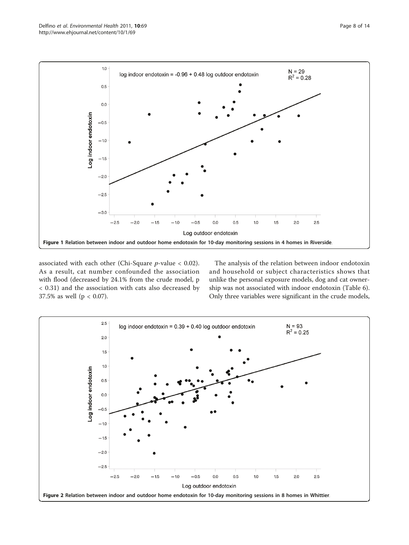<span id="page-7-0"></span>

associated with each other (Chi-Square  $p$ -value < 0.02). As a result, cat number confounded the association with flood (decreased by 24.1% from the crude model, p < 0.31) and the association with cats also decreased by 37.5% as well ( $p < 0.07$ ).

The analysis of the relation between indoor endotoxin and household or subject characteristics shows that unlike the personal exposure models, dog and cat ownership was not associated with indoor endotoxin (Table [6](#page-10-0)). Only three variables were significant in the crude models,

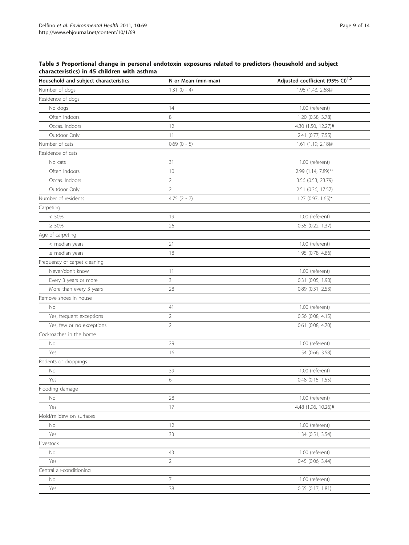<span id="page-8-0"></span>

| Household and subject characteristics | N or Mean (min-max) | Adjusted coefficient (95% CI) <sup>1,2</sup> |
|---------------------------------------|---------------------|----------------------------------------------|
| Number of dogs                        | $1.31(0 - 4)$       | 1.96 (1.43, 2.68)#                           |
| Residence of dogs                     |                     |                                              |
| No dogs                               | 14                  | 1.00 (referent)                              |
| Often Indoors                         | 8                   | 1.20 (0.38, 3.78)                            |
| Occas. Indoors                        | 12                  | 4.30 (1.50, 12.27)#                          |
| Outdoor Only                          | 11                  | 2.41 (0.77, 7.55)                            |
| Number of cats                        | $0.69$ (0 - 5)      | 1.61 (1.19, 2.18)#                           |
| Residence of cats                     |                     |                                              |
| No cats                               | 31                  | 1.00 (referent)                              |
| Often Indoors                         | 10                  | 2.99 (1.14, 7.89)**                          |
| Occas. Indoors                        | $\overline{2}$      | 3.56 (0.53, 23.79)                           |
| Outdoor Only                          | $\overline{2}$      | 2.51 (0.36, 17.57)                           |
| Number of residents                   | $4.75(2 - 7)$       | $1.27$ (0.97, 1.65)*                         |
| Carpeting                             |                     |                                              |
| < 50%                                 | 19                  | 1.00 (referent)                              |
| $\geq 50\%$                           | 26                  | 0.55 (0.22, 1.37)                            |
| Age of carpeting                      |                     |                                              |
| < median years                        | 21                  | 1.00 (referent)                              |
| $\geq$ median years                   | 18                  | 1.95 (0.78, 4.86)                            |
| Frequency of carpet cleaning          |                     |                                              |
| Never/don't know                      | 11                  | 1.00 (referent)                              |
| Every 3 years or more                 | 3                   | 0.31 (0.05, 1.90)                            |
| More than every 3 years               | 28                  | $0.89$ $(0.31, 2.53)$                        |
| Remove shoes in house                 |                     |                                              |
| No                                    | 41                  | 1.00 (referent)                              |
| Yes, frequent exceptions              | $\overline{2}$      | 0.56 (0.08, 4.15)                            |
| Yes, few or no exceptions             | $\overline{2}$      | $0.61$ (0.08, 4.70)                          |
| Cockroaches in the home               |                     |                                              |
| No                                    | 29                  | 1.00 (referent)                              |
| Yes                                   | 16                  | 1.54 (0.66, 3.58)                            |
| Rodents or droppings                  |                     |                                              |
| No                                    | 39                  | 1.00 (referent)                              |
| Yes                                   | 6                   | $0.48$ $(0.15, 1.55)$                        |
| Flooding damage                       |                     |                                              |
| No                                    | 28                  | 1.00 (referent)                              |
| Yes                                   | 17                  | 4.48 (1.96, 10.26)#                          |
| Mold/mildew on surfaces               |                     |                                              |
| No                                    | 12                  | 1.00 (referent)                              |
| Yes                                   | 33                  | 1.34(0.51, 3.54)                             |
| Livestock                             |                     |                                              |
| No                                    | 43                  | 1.00 (referent)                              |
| Yes                                   | $\overline{2}$      | $0.45$ $(0.06, 3.44)$                        |
| Central air-conditioning              |                     |                                              |
| No                                    | $\overline{7}$      | 1.00 (referent)                              |
| Yes                                   | 38                  | 0.55 (0.17, 1.81)                            |
|                                       |                     |                                              |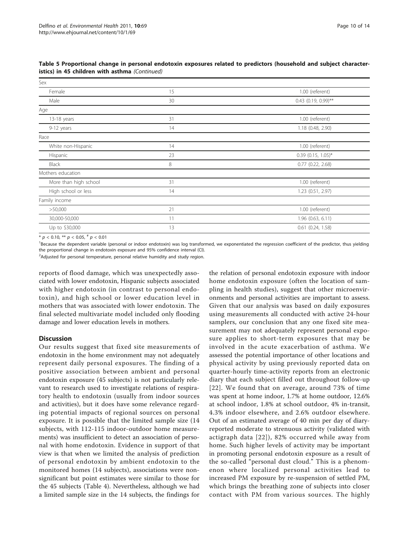| Sex                   |    |                       |
|-----------------------|----|-----------------------|
| Female                | 15 | 1.00 (referent)       |
| Male                  | 30 | $0.43$ (0.19, 0.99)** |
| Age                   |    |                       |
| 13-18 years           | 31 | 1.00 (referent)       |
| 9-12 years            | 14 | 1.18 (0.48, 2.90)     |
| Race                  |    |                       |
| White non-Hispanic    | 14 | 1.00 (referent)       |
| Hispanic              | 23 | $0.39$ (0.15, 1.05)*  |
| <b>Black</b>          | 8  | 0.77 (0.22, 2.68)     |
| Mothers education     |    |                       |
| More than high school | 31 | 1.00 (referent)       |
| High school or less   | 14 | 1.23 (0.51, 2.97)     |
| Family income         |    |                       |
| >50,000               | 21 | 1.00 (referent)       |
| 30,000-50,000         | 11 | 1.96 (0.63, 6.11)     |
| Up to \$30,000        | 13 | $0.61$ $(0.24, 1.58)$ |

Table 5 Proportional change in personal endotoxin exposures related to predictors (household and subject characteristics) in 45 children with asthma (Continued)

\*  $p < 0.10$ , \*\*  $p < 0.05$ ,  $\frac{\pi}{p} < 0.01$ 

Because the dependent variable (personal or indoor endotoxin) was log transformed, we exponentiated the regression coefficient of the predictor, thus yielding the proportional change in endotoxin exposure and 95% confidence interval (CI).

<sup>2</sup>Adjusted for personal temperature, personal relative humidity and study region.

reports of flood damage, which was unexpectedly associated with lower endotoxin, Hispanic subjects associated with higher endotoxin (in contrast to personal endotoxin), and high school or lower education level in mothers that was associated with lower endotoxin. The final selected multivariate model included only flooding damage and lower education levels in mothers.

#### Discussion

Our results suggest that fixed site measurements of endotoxin in the home environment may not adequately represent daily personal exposures. The finding of a positive association between ambient and personal endotoxin exposure (45 subjects) is not particularly relevant to research used to investigate relations of respiratory health to endotoxin (usually from indoor sources and activities), but it does have some relevance regarding potential impacts of regional sources on personal exposure. It is possible that the limited sample size (14 subjects, with 112-115 indoor-outdoor home measurements) was insufficient to detect an association of personal with home endotoxin. Evidence in support of that view is that when we limited the analysis of prediction of personal endotoxin by ambient endotoxin to the monitored homes (14 subjects), associations were nonsignificant but point estimates were similar to those for the 45 subjects (Table [4](#page-6-0)). Nevertheless, although we had a limited sample size in the 14 subjects, the findings for

the relation of personal endotoxin exposure with indoor home endotoxin exposure (often the location of sampling in health studies), suggest that other microenvironments and personal activities are important to assess. Given that our analysis was based on daily exposures using measurements all conducted with active 24-hour samplers, our conclusion that any one fixed site measurement may not adequately represent personal exposure applies to short-term exposures that may be involved in the acute exacerbation of asthma. We assessed the potential importance of other locations and physical activity by using previously reported data on quarter-hourly time-activity reports from an electronic diary that each subject filled out throughout follow-up [[22\]](#page-13-0). We found that on average, around 73% of time was spent at home indoor, 1.7% at home outdoor, 12.6% at school indoor, 1.8% at school outdoor, 4% in-transit, 4.3% indoor elsewhere, and 2.6% outdoor elsewhere. Out of an estimated average of 40 min per day of diaryreported moderate to strenuous activity (validated with actigraph data [[22\]](#page-13-0)), 82% occurred while away from home. Such higher levels of activity may be important in promoting personal endotoxin exposure as a result of the so-called "personal dust cloud." This is a phenomenon where localized personal activities lead to increased PM exposure by re-suspension of settled PM, which brings the breathing zone of subjects into closer contact with PM from various sources. The highly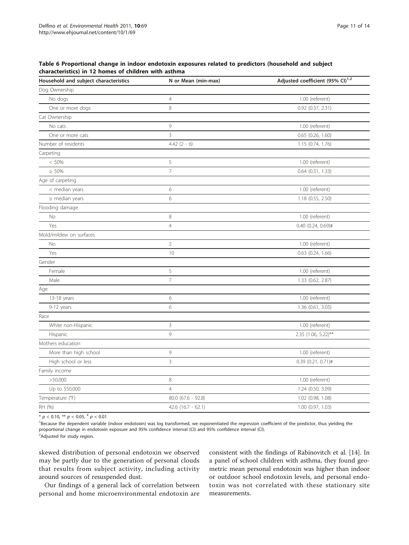<span id="page-10-0"></span>Table 6 Proportional change in indoor endotoxin exposures related to predictors (household and subject characteristics) in 12 homes of children with asthma

| Household and subject characteristics | N or Mean (min-max) | Adjusted coefficient (95% CI) <sup>1,2</sup> |  |  |  |
|---------------------------------------|---------------------|----------------------------------------------|--|--|--|
| Dog Ownership                         |                     |                                              |  |  |  |
| No dogs                               | 4                   | 1.00 (referent)                              |  |  |  |
| One or more dogs                      | 8                   | 0.92 (0.37, 2.31)                            |  |  |  |
| Cat Ownership                         |                     |                                              |  |  |  |
| No cats                               | 9                   | 1.00 (referent)                              |  |  |  |
| One or more cats                      | 3                   | 0.65 (0.26, 1.60)                            |  |  |  |
| Number of residents                   | $4.42(2 - 6)$       | 1.15 (0.74, 1.76)                            |  |  |  |
| Carpeting                             |                     |                                              |  |  |  |
| < 50%                                 | 5                   | 1.00 (referent)                              |  |  |  |
| $\geq 50\%$                           | 7                   | 0.64 (0.31, 1.33)                            |  |  |  |
| Age of carpeting                      |                     |                                              |  |  |  |
| < median years                        | 6                   | 1.00 (referent)                              |  |  |  |
| $\geq$ median years                   | 6                   | 1.18 (0.55, 2.50)                            |  |  |  |
| Flooding damage                       |                     |                                              |  |  |  |
| No                                    | 8                   | 1.00 (referent)                              |  |  |  |
| Yes                                   | $\overline{4}$      | $0.40$ $(0.24, 0.69)$ #                      |  |  |  |
| Mold/mildew on surfaces               |                     |                                              |  |  |  |
| No                                    | $\overline{2}$      | 1.00 (referent)                              |  |  |  |
| Yes                                   | 10                  | $0.63$ $(0.24, 1.66)$                        |  |  |  |
| Gender                                |                     |                                              |  |  |  |
| Female                                | 5                   | 1.00 (referent)                              |  |  |  |
| Male                                  | $\overline{7}$      | 1.33 (0.62, 2.87)                            |  |  |  |
| Age                                   |                     |                                              |  |  |  |
| 13-18 years                           | 6                   | 1.00 (referent)                              |  |  |  |
| 9-12 years                            | 6                   | 1.36 (0.61, 3.05)                            |  |  |  |
| Race                                  |                     |                                              |  |  |  |
| White non-Hispanic                    | 3                   | 1.00 (referent)                              |  |  |  |
| Hispanic                              | 9                   | 2.35 (1.06, 5.22)**                          |  |  |  |
| Mothers education                     |                     |                                              |  |  |  |
| More than high school                 | 9                   | 1.00 (referent)                              |  |  |  |
| High school or less                   | 3                   | $0.39$ $(0.21, 0.71)$ #                      |  |  |  |
| Family income                         |                     |                                              |  |  |  |
| >50,000                               | 8                   | 1.00 (referent)                              |  |  |  |
| Up to \$50,000                        | $\overline{4}$      | 1.24 (0.50, 3.09)                            |  |  |  |
| Temperature (°F)                      | 80.0 (67.6 - 92.8)  | 1.02 (0.98, 1.08)                            |  |  |  |
| RH (%)                                | 42.6 (16.7 - 62.1)  | 1.00 (0.97, 1.03)                            |  |  |  |

\*  $p < 0.10,$  \*\*  $p < 0.05,$  #  $p < 0.01$ 

Because the dependent variable (indoor endotoxin) was log transformed, we exponentiated the regression coefficient of the predictor, thus yielding the proportional change in endotoxin exposure and 95% confidence interval (CI) and 95% confidence interval (CI).

<sup>2</sup> Adjusted for study region.

skewed distribution of personal endotoxin we observed may be partly due to the generation of personal clouds that results from subject activity, including activity around sources of resuspended dust.

Our findings of a general lack of correlation between personal and home microenvironmental endotoxin are

consistent with the findings of Rabinovitch et al. [[14](#page-13-0)]. In a panel of school children with asthma, they found geometric mean personal endotoxin was higher than indoor or outdoor school endotoxin levels, and personal endotoxin was not correlated with these stationary site measurements.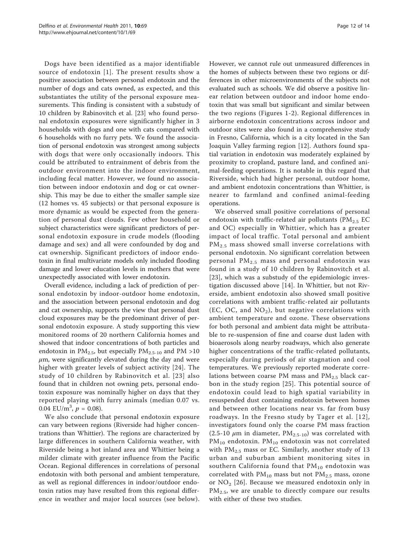Dogs have been identified as a major identifiable source of endotoxin [[1](#page-12-0)]. The present results show a positive association between personal endotoxin and the number of dogs and cats owned, as expected, and this substantiates the utility of the personal exposure measurements. This finding is consistent with a substudy of 10 children by Rabinovitch et al. [[23\]](#page-13-0) who found personal endotoxin exposures were significantly higher in 3 households with dogs and one with cats compared with 6 households with no furry pets. We found the association of personal endotoxin was strongest among subjects with dogs that were only occasionally indoors. This could be attributed to entrainment of debris from the outdoor environment into the indoor environment, including fecal matter. However, we found no association between indoor endotoxin and dog or cat ownership. This may be due to either the smaller sample size (12 homes vs. 45 subjects) or that personal exposure is more dynamic as would be expected from the generation of personal dust clouds. Few other household or subject characteristics were significant predictors of personal endotoxin exposure in crude models (flooding damage and sex) and all were confounded by dog and cat ownership. Significant predictors of indoor endotoxin in final multivariate models only included flooding damage and lower education levels in mothers that were unexpectedly associated with lower endotoxin.

Overall evidence, including a lack of prediction of personal endotoxin by indoor-outdoor home endotoxin, and the association between personal endotoxin and dog and cat ownership, supports the view that personal dust cloud exposures may be the predominant driver of personal endotoxin exposure. A study supporting this view monitored rooms of 20 northern California homes and showed that indoor concentrations of both particles and endotoxin in  $PM_{2.5}$ , but especially  $PM_{2.5-10}$  and  $PM >10$  $\mu$ m, were significantly elevated during the day and were higher with greater levels of subject activity [\[24\]](#page-13-0). The study of 10 children by Rabinovitch et al. [[23\]](#page-13-0) also found that in children not owning pets, personal endotoxin exposure was nominally higher on days that they reported playing with furry animals (median 0.07 vs. 0.04 EU/m<sup>3</sup>,  $p = 0.08$ ).

We also conclude that personal endotoxin exposure can vary between regions (Riverside had higher concentrations than Whittier). The regions are characterized by large differences in southern California weather, with Riverside being a hot inland area and Whittier being a milder climate with greater influence from the Pacific Ocean. Regional differences in correlations of personal endotoxin with both personal and ambient temperature, as well as regional differences in indoor/outdoor endotoxin ratios may have resulted from this regional difference in weather and major local sources (see below).

However, we cannot rule out unmeasured differences in the homes of subjects between these two regions or differences in other microenvironments of the subjects not evaluated such as schools. We did observe a positive linear relation between outdoor and indoor home endotoxin that was small but significant and similar between the two regions (Figures [1-2](#page-7-0)). Regional differences in airborne endotoxin concentrations across indoor and outdoor sites were also found in a comprehensive study in Fresno, California, which is a city located in the San Joaquin Valley farming region [\[12](#page-13-0)]. Authors found spatial variation in endotoxin was moderately explained by proximity to cropland, pasture land, and confined animal-feeding operations. It is notable in this regard that Riverside, which had higher personal, outdoor home, and ambient endotoxin concentrations than Whittier, is nearer to farmland and confined animal-feeding operations.

We observed small positive correlations of personal endotoxin with traffic-related air pollutants ( $PM_{2.5}$  EC and OC) especially in Whittier, which has a greater impact of local traffic. Total personal and ambient  $PM_{2.5}$  mass showed small inverse correlations with personal endotoxin. No significant correlation between personal  $PM_{2.5}$  mass and personal endotoxin was found in a study of 10 children by Rabinovitch et al. [[23](#page-13-0)], which was a substudy of the epidemiologic investigation discussed above [[14\]](#page-13-0). In Whittier, but not Riverside, ambient endotoxin also showed small positive correlations with ambient traffic-related air pollutants (EC, OC, and  $NO<sub>2</sub>$ ), but negative correlations with ambient temperature and ozone. These observations for both personal and ambient data might be attributable to re-suspension of fine and coarse dust laden with bioaerosols along nearby roadways, which also generate higher concentrations of the traffic-related pollutants, especially during periods of air stagnation and cool temperatures. We previously reported moderate correlations between coarse PM mass and  $PM_{2.5}$  black carbon in the study region [[25\]](#page-13-0). This potential source of endotoxin could lead to high spatial variability in resuspended dust containing endotoxin between homes and between other locations near vs. far from busy roadways. In the Fresno study by Tager et al. [[12\]](#page-13-0), investigators found only the coarse PM mass fraction (2.5-10  $\mu$ m in diameter, PM<sub>2.5-10</sub>) was correlated with  $PM_{10}$  endotoxin.  $PM_{10}$  endotoxin was not correlated with  $PM_{2.5}$  mass or EC. Similarly, another study of 13 urban and suburban ambient monitoring sites in southern California found that  $PM_{10}$  endotoxin was correlated with  $PM_{10}$  mass but not  $PM_{2.5}$  mass, ozone or  $NO<sub>2</sub>$  [[26](#page-13-0)]. Because we measured endotoxin only in PM<sub>2.5</sub>, we are unable to directly compare our results with either of these two studies.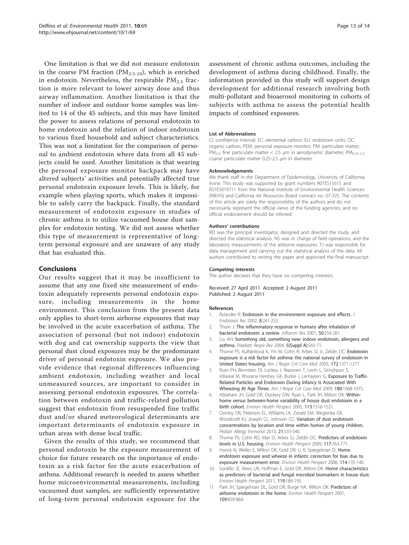<span id="page-12-0"></span>One limitation is that we did not measure endotoxin in the coarse PM fraction ( $PM_{2.5-10}$ ), which is enriched in endotoxin. Nevertheless, the respirable  $PM_{2.5}$  fraction is more relevant to lower airway dose and thus airway inflammation. Another limitation is that the number of indoor and outdoor home samples was limited to 14 of the 45 subjects, and this may have limited the power to assess relations of personal endotoxin to home endotoxin and the relation of indoor endotoxin to various fixed household and subject characteristics. This was not a limitation for the comparison of personal to ambient endotoxin where data from all 45 subjects could be used. Another limitation is that wearing the personal exposure monitor backpack may have altered subjects' activities and potentially affected true personal endotoxin exposure levels. This is likely, for example when playing sports, which makes it impossible to safely carry the backpack. Finally, the standard measurement of endotoxin exposure in studies of chronic asthma is to utilize vacuumed house dust samples for endotoxin testing. We did not assess whether this type of measurement is representative of longterm personal exposure and are unaware of any study that has evaluated this.

# Conclusions

Our results suggest that it may be insufficient to assume that any one fixed site measurement of endotoxin adequately represents personal endotoxin exposure, including measurements in the home environment. This conclusion from the present data only applies to short-term airborne exposures that may be involved in the acute exacerbation of asthma. The association of personal (but not indoor) endotoxin with dog and cat ownership supports the view that personal dust cloud exposures may be the predominant driver of personal endotoxin exposure. We also provide evidence that regional differences influencing ambient endotoxin, including weather and local unmeasured sources, are important to consider in assessing personal endotoxin exposures. The correlation between endotoxin and traffic-related pollution suggest that endotoxin from resuspended fine traffic dust and/or shared meteorological determinants are important determinants of endotoxin exposure in urban areas with dense local traffic.

Given the results of this study, we recommend that personal endotoxin be the exposure measurement of choice for future research on the importance of endotoxin as a risk factor for the acute exacerbation of asthma. Additional research is needed to assess whether home microenvironmental measurements, including vacuumed dust samples, are sufficiently representative of long-term personal endotoxin exposure for the

assessment of chronic asthma outcomes, including the development of asthma during childhood. Finally, the information provided in this study will support design development for additional research involving both multi-pollutant and bioaerosol monitoring in cohorts of subjects with asthma to assess the potential health impacts of combined exposures.

#### List of Abbreviations

CI: confidence interval; EC: elemental carbon; EU: endotoxin units; OC: organic carbon; PEM: personal exposure monitor; PM: particulate matter; PM<sub>2.5</sub>: fine particulate matter < 2.5  $\mu$ m in aerodynamic diameter; PM<sub>0.25-2.5</sub>: coarse particulate matter 0.25-2.5 μm in diameter.

#### Acknowledgements

We thank staff in the Department of Epidemiology, University of California, Irvine. This study was supported by grant numbers R01ES11615 and R21ES019711 from the National Institute of Environmental Health Sciences (NIEHS) and California Air Resources Board contract no. 07-325. The contents of this article are solely the responsibility of the authors and do not necessarily represent the official views of the funding agencies, and no official endorsement should be inferred.

#### Authors' contributions

RD was the principal investigator, designed and directed the study, and directed the statistical analysis. NS was in charge of field operations, and the laboratory measurements of the airborne exposures. TJ was responsible for data management and carrying out the statistical analysis of the data. All authors contributed to writing the paper and approved the final manuscript.

#### Competing interests

The author declares that they have no competing interests.

Received: 27 April 2011 Accepted: 2 August 2011 Published: 2 August 2011

#### References

- 1. Rylander R: [Endotoxin in the environment](http://www.ncbi.nlm.nih.gov/pubmed/12230914?dopt=Abstract)–exposure and effects. J Endotoxin Res 2002, 8:241-252.
- 2. Thorn J: [The inflammatory response in humans after inhalation of](http://www.ncbi.nlm.nih.gov/pubmed/11409488?dopt=Abstract) [bacterial endotoxin: a review.](http://www.ncbi.nlm.nih.gov/pubmed/11409488?dopt=Abstract) Inflamm Res 2001, 50:254-261.
- 3. Liu AH: [Something old, something new: indoor endotoxin, allergens and](http://www.ncbi.nlm.nih.gov/pubmed/14980246?dopt=Abstract) [asthma.](http://www.ncbi.nlm.nih.gov/pubmed/14980246?dopt=Abstract) Paediatr Respir Rev 2004, 5(Suppl A):S65-71.
- 4. Thorne PS, Kulhánková K, Yin M, Cohn R, Arbes SJ Jr, Zeldin DC: [Endotoxin](http://www.ncbi.nlm.nih.gov/pubmed/16141442?dopt=Abstract) [exposure is a risk factor for asthma: the national survey of endotoxin in](http://www.ncbi.nlm.nih.gov/pubmed/16141442?dopt=Abstract) [United States housing.](http://www.ncbi.nlm.nih.gov/pubmed/16141442?dopt=Abstract) Am J Respir Crit Care Med 2005, 172:1371-1377.
- 5. Ryan PH, Bernstein DI, Lockey J, Reponen T, Levin L, Grinshpun S, Villareal M, Khurana Hershey GK, Burkle J, Lemasters G: [Exposure to Traffic-](http://www.ncbi.nlm.nih.gov/pubmed/19745206?dopt=Abstract)[Related Particles and Endotoxin During Infancy Is Associated With](http://www.ncbi.nlm.nih.gov/pubmed/19745206?dopt=Abstract) [Wheezing At Age Three.](http://www.ncbi.nlm.nih.gov/pubmed/19745206?dopt=Abstract) Am J Respir Crit Care Med 2009, 180:1068-1075.
- 6. Abraham JH, Gold DR, Dockery DW, Ryan L, Park JH, Milton DK: [Within](http://www.ncbi.nlm.nih.gov/pubmed/16263505?dopt=Abstract)[home versus between-home variability of house dust endotoxin in a](http://www.ncbi.nlm.nih.gov/pubmed/16263505?dopt=Abstract) [birth cohort.](http://www.ncbi.nlm.nih.gov/pubmed/16263505?dopt=Abstract) Environ Health Perspect 2005, 113:1516-1521.
- 7. Ownby DR, Peterson EL, Williams LK, Zoratti EM, Wegienka GR, Woodcroft KJ, Joseph CL, Johnson CC: [Variation of dust endotoxin](http://www.ncbi.nlm.nih.gov/pubmed/20088861?dopt=Abstract) [concentrations by location and time within homes of young children.](http://www.ncbi.nlm.nih.gov/pubmed/20088861?dopt=Abstract) Pediatr Allergy Immunol 2010, 21:533-540.
- 8. Thorne PS, Cohn RD, Mav D, Arbes SJ, Zeldin DC: [Predictors of endotoxin](http://www.ncbi.nlm.nih.gov/pubmed/19479019?dopt=Abstract) [levels in U.S. housing.](http://www.ncbi.nlm.nih.gov/pubmed/19479019?dopt=Abstract) Environ Health Perspect 2009, 117:763-771.
- 9. Horick N, Weller E, Milton DK, Gold DR, Li R, Spiegelman D: [Home](http://www.ncbi.nlm.nih.gov/pubmed/16393671?dopt=Abstract) [endotoxin exposure and wheeze in infants: correction for bias due to](http://www.ncbi.nlm.nih.gov/pubmed/16393671?dopt=Abstract) [exposure measurement error.](http://www.ncbi.nlm.nih.gov/pubmed/16393671?dopt=Abstract) Environ Health Perspect 2006, 114:135-140.
- 10. Sordillo JE, Alwis UK, Hoffman E, Gold DR, Milton DK: [Home characteristics](http://www.ncbi.nlm.nih.gov/pubmed/20965804?dopt=Abstract) [as predictors of bacterial and fungal microbial biomarkers in house dust.](http://www.ncbi.nlm.nih.gov/pubmed/20965804?dopt=Abstract) Environ Health Perspect 2011, 119:189-195.
- 11. Park JH, Spiegelman DL, Gold DR, Burge HA, Milton DK: [Predictors of](http://www.ncbi.nlm.nih.gov/pubmed/11564624?dopt=Abstract) [airborne endotoxin in the home.](http://www.ncbi.nlm.nih.gov/pubmed/11564624?dopt=Abstract) Environ Health Perspect 2001, 109:859-864.